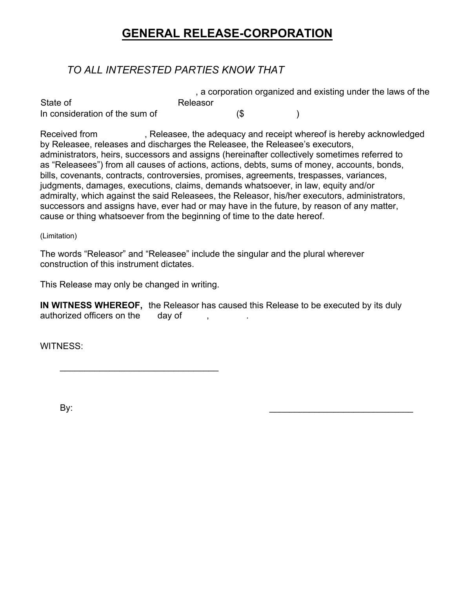# **GENERAL RELEASE-CORPORATION**

### *TO ALL INTERESTED PARTIES KNOW THAT*

|                                |          |     | , a corporation organized and existing under the laws of the |  |
|--------------------------------|----------|-----|--------------------------------------------------------------|--|
| State of                       | Releasor |     |                                                              |  |
| In consideration of the sum of |          | (\$ |                                                              |  |

Received from Releasee, the adequacy and receipt whereof is hereby acknowledged by Releasee, releases and discharges the Releasee, the Releasee's executors, administrators, heirs, successors and assigns (hereinafter collectively sometimes referred to as "Releasees") from all causes of actions, actions, debts, sums of money, accounts, bonds, bills, covenants, contracts, controversies, promises, agreements, trespasses, variances, judgments, damages, executions, claims, demands whatsoever, in law, equity and/or admiralty, which against the said Releasees, the Releasor, his/her executors, administrators, successors and assigns have, ever had or may have in the future, by reason of any matter, cause or thing whatsoever from the beginning of time to the date hereof.

### (Limitation)

The words "Releasor" and "Releasee" include the singular and the plural wherever construction of this instrument dictates.

This Release may only be changed in writing.

 $\overline{\phantom{a}}$  ,  $\overline{\phantom{a}}$  ,  $\overline{\phantom{a}}$  ,  $\overline{\phantom{a}}$  ,  $\overline{\phantom{a}}$  ,  $\overline{\phantom{a}}$  ,  $\overline{\phantom{a}}$  ,  $\overline{\phantom{a}}$  ,  $\overline{\phantom{a}}$  ,  $\overline{\phantom{a}}$  ,  $\overline{\phantom{a}}$  ,  $\overline{\phantom{a}}$  ,  $\overline{\phantom{a}}$  ,  $\overline{\phantom{a}}$  ,  $\overline{\phantom{a}}$  ,  $\overline{\phantom{a}}$ 

**IN WITNESS WHEREOF,** the Releasor has caused this Release to be executed by its duly authorized officers on the day of authorized officers on the day of ,

WITNESS:

By: \_\_\_\_\_\_\_\_\_\_\_\_\_\_\_\_\_\_\_\_\_\_\_\_\_\_\_\_\_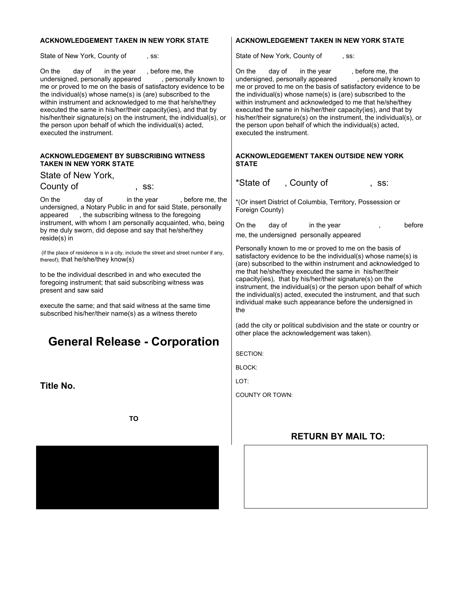#### **ACKNOWLEDGEMENT TAKEN IN NEW YORK STATE**

State of New York, County of , ss:

On the day of in the year, before me, the undersigned, personally appeared, personally known to undersigned, personally appeared me or proved to me on the basis of satisfactory evidence to be the individual(s) whose name(s) is (are) subscribed to the within instrument and acknowledged to me that he/she/they executed the same in his/her/their capacity(ies), and that by his/her/their signature(s) on the instrument, the individual(s), or the person upon behalf of which the individual(s) acted, executed the instrument.

#### **ACKNOWLEDGEMENT BY SUBSCRIBING WITNESS TAKEN IN NEW YORK STATE**

State of New York, County of the ss:

On the day of in the year, before me, the undersigned, a Notary Public in and for said State, personally appeared , the subscribing witness to the foregoing instrument, with whom I am personally acquainted, who, being by me duly sworn, did depose and say that he/she/they reside(s) in

 (if the place of residence is in a city, include the street and street number if any, thereof); that he/she/they know(s)

to be the individual described in and who executed the foregoing instrument; that said subscribing witness was present and saw said

execute the same; and that said witness at the same time subscribed his/her/their name(s) as a witness thereto

## **General Release - Corporation**

**Title No.** 

**TO** 



### **ACKNOWLEDGEMENT TAKEN IN NEW YORK STATE**

State of New York, County of , ss:

On the day of in the year , before me, the undersigned, personally appeared , personally known to undersigned, personally appeared me or proved to me on the basis of satisfactory evidence to be the individual(s) whose name(s) is (are) subscribed to the within instrument and acknowledged to me that he/she/they executed the same in his/her/their capacity(ies), and that by his/her/their signature(s) on the instrument, the individual(s), or the person upon behalf of which the individual(s) acted, executed the instrument.

#### **ACKNOWLEDGEMENT TAKEN OUTSIDE NEW YORK STATE**

\*State of , County of , ss:

\*(Or insert District of Columbia, Territory, Possession or Foreign County)

| On the | dav of | in the year                             | before |
|--------|--------|-----------------------------------------|--------|
|        |        | me, the undersigned personally appeared |        |

Personally known to me or proved to me on the basis of satisfactory evidence to be the individual(s) whose name(s) is (are) subscribed to the within instrument and acknowledged to me that he/she/they executed the same in his/her/their capacity(ies), that by his/her/their signature(s) on the instrument, the individual(s) or the person upon behalf of which the individual(s) acted, executed the instrument, and that such individual make such appearance before the undersigned in the

(add the city or political subdivision and the state or country or other place the acknowledgement was taken).

SECTION:

BLOCK:

LOT:

COUNTY OR TOWN:

### **RETURN BY MAIL TO:**